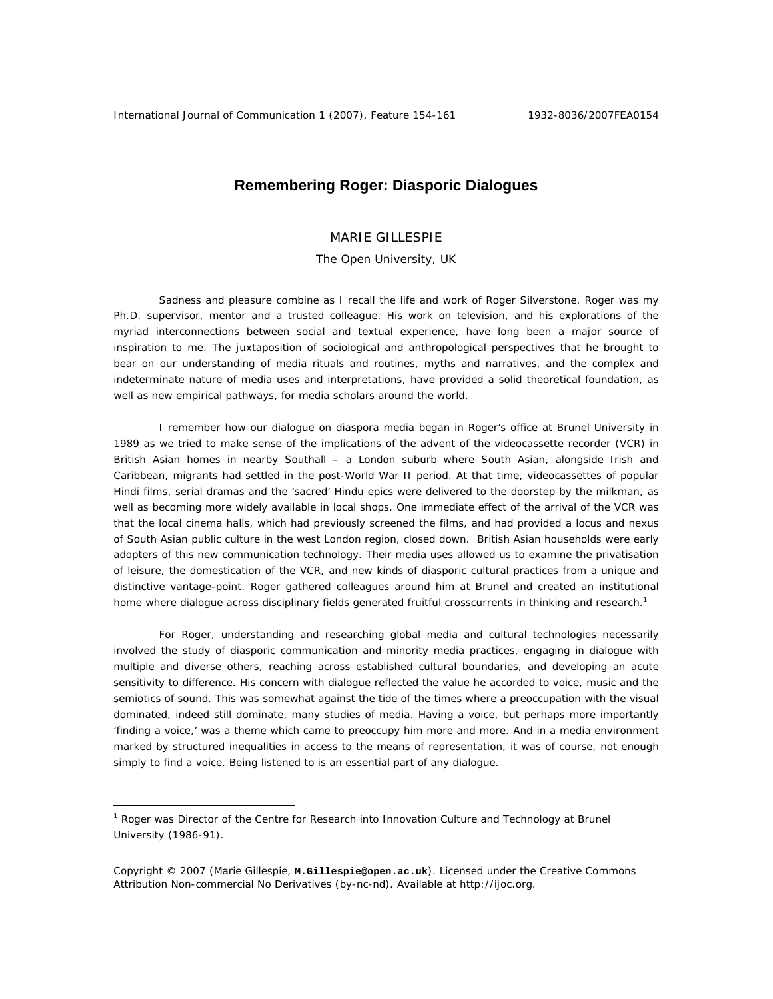# **Remembering Roger: Diasporic Dialogues**

## MARIE GILLESPIE

## The Open University, UK

Sadness and pleasure combine as I recall the life and work of Roger Silverstone. Roger was my Ph.D. supervisor, mentor and a trusted colleague. His work on television, and his explorations of the myriad interconnections between social and textual experience, have long been a major source of inspiration to me. The juxtaposition of sociological and anthropological perspectives that he brought to bear on our understanding of media rituals and routines, myths and narratives, and the complex and indeterminate nature of media uses and interpretations, have provided a solid theoretical foundation, as well as new empirical pathways, for media scholars around the world.

I remember how our dialogue on diaspora media began in Roger's office at Brunel University in 1989 as we tried to make sense of the implications of the advent of the videocassette recorder (VCR) in British Asian homes in nearby Southall – a London suburb where South Asian, alongside Irish and Caribbean, migrants had settled in the post-World War II period. At that time, videocassettes of popular Hindi films, serial dramas and the 'sacred' Hindu epics were delivered to the doorstep by the milkman, as well as becoming more widely available in local shops. One immediate effect of the arrival of the VCR was that the local cinema halls, which had previously screened the films, and had provided a locus and nexus of South Asian public culture in the west London region, closed down. British Asian households were early adopters of this new communication technology. Their media uses allowed us to examine the privatisation of leisure, the domestication of the VCR, and new kinds of diasporic cultural practices from a unique and distinctive vantage-point. Roger gathered colleagues around him at Brunel and created an institutional home where dialogue across disciplinary fields generated fruitful crosscurrents in thinking and research.<sup>1</sup>

For Roger, understanding and researching global media and cultural technologies necessarily involved the study of diasporic communication and minority media practices, engaging in dialogue with multiple and diverse others, reaching across established cultural boundaries, and developing an acute sensitivity to difference. His concern with dialogue reflected the value he accorded to voice, music and the semiotics of sound. This was somewhat against the tide of the times where a preoccupation with the visual dominated, indeed still dominate, many studies of media. Having a voice, but perhaps more importantly 'finding a voice,' was a theme which came to preoccupy him more and more. And in a media environment marked by structured inequalities in access to the means of representation, it was of course, not enough simply to find a voice. Being listened to is an essential part of any dialogue.

 $\overline{a}$ 

<sup>&</sup>lt;sup>1</sup> Roger was Director of the Centre for Research into Innovation Culture and Technology at Brunel University (1986-91).

Copyright © 2007 (Marie Gillespie, **M.Gillespie@open.ac.uk**). Licensed under the Creative Commons Attribution Non-commercial No Derivatives (by-nc-nd). Available at http://ijoc.org.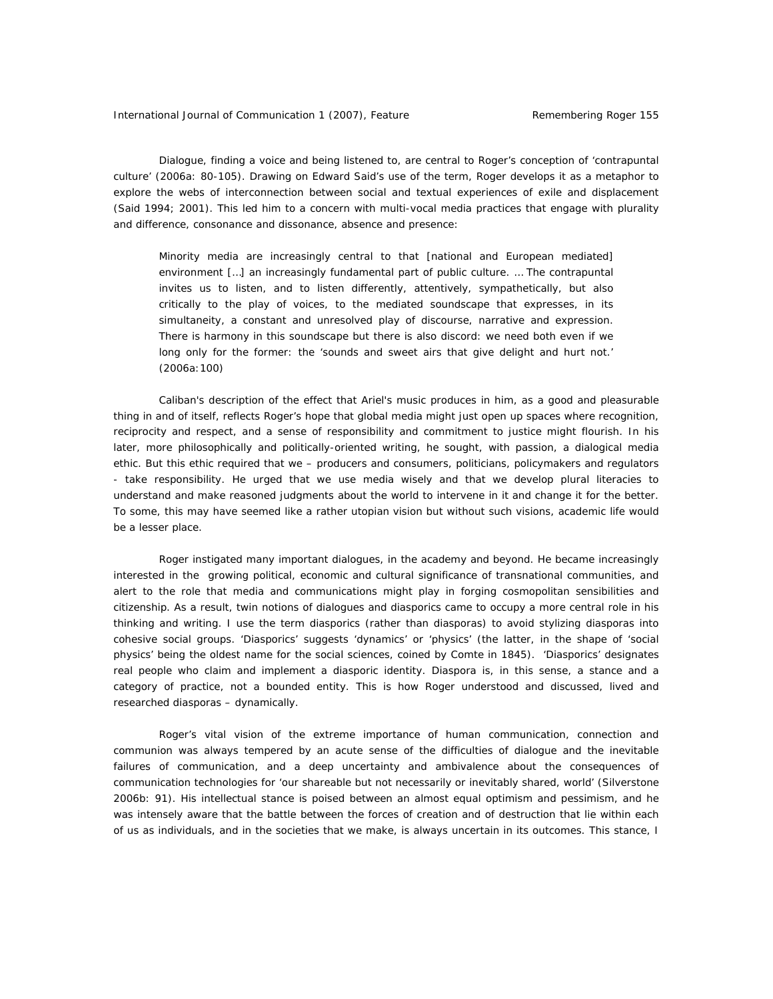Dialogue, finding a voice and being listened to, are central to Roger's conception of 'contrapuntal culture' (2006a: 80-105). Drawing on Edward Said's use of the term, Roger develops it as a metaphor to explore the webs of interconnection between social and textual experiences of exile and displacement (Said 1994; 2001). This led him to a concern with multi-vocal media practices that engage with plurality and difference, consonance and dissonance, absence and presence:

Minority media are increasingly central to that [national and European mediated] environment […] an increasingly fundamental part of public culture. … The contrapuntal invites us to listen, and to listen differently, attentively, sympathetically, but also critically to the play of voices, to the mediated soundscape that expresses, in its simultaneity, a constant and unresolved play of discourse, narrative and expression. There is harmony in this soundscape but there is also discord: we need both even if we long only for the former: the 'sounds and sweet airs that give delight and hurt not.' (2006a:100)

Caliban's description of the effect that Ariel's music produces in him, as a good and pleasurable thing in and of itself, reflects Roger's hope that global media might just open up spaces where recognition, reciprocity and respect, and a sense of responsibility and commitment to justice might flourish. In his later, more philosophically and politically-oriented writing, he sought, with passion, a dialogical media ethic. But this ethic required that we – producers and consumers, politicians, policymakers and regulators - take responsibility. He urged that we use media wisely and that we develop plural literacies to understand and make reasoned judgments about the world to intervene in it and change it for the better. To some, this may have seemed like a rather utopian vision but without such visions, academic life would be a lesser place.

Roger instigated many important dialogues, in the academy and beyond. He became increasingly interested in the growing political, economic and cultural significance of transnational communities, and alert to the role that media and communications might play in forging cosmopolitan sensibilities and citizenship. As a result, twin notions of dialogues and diasporics came to occupy a more central role in his thinking and writing. I use the term diasporics (rather than diasporas) to avoid stylizing diasporas into cohesive social groups. 'Diasporics' suggests 'dynamics' or 'physics' (the latter, in the shape of 'social physics' being the oldest name for the social sciences, coined by Comte in 1845). 'Diasporics' designates real people who claim and implement a diasporic identity. Diaspora is, in this sense, a stance and a category of practice, not a bounded entity. This is how Roger understood and discussed, lived and researched diasporas – dynamically.

Roger's vital vision of the extreme importance of human communication, connection and communion was always tempered by an acute sense of the difficulties of dialogue and the inevitable failures of communication, and a deep uncertainty and ambivalence about the consequences of communication technologies for 'our shareable but not necessarily or inevitably shared, world' (Silverstone 2006b: 91). His intellectual stance is poised between an almost equal optimism and pessimism, and he was intensely aware that the battle between the forces of creation and of destruction that lie within each of us as individuals, and in the societies that we make, is always uncertain in its outcomes. This stance, I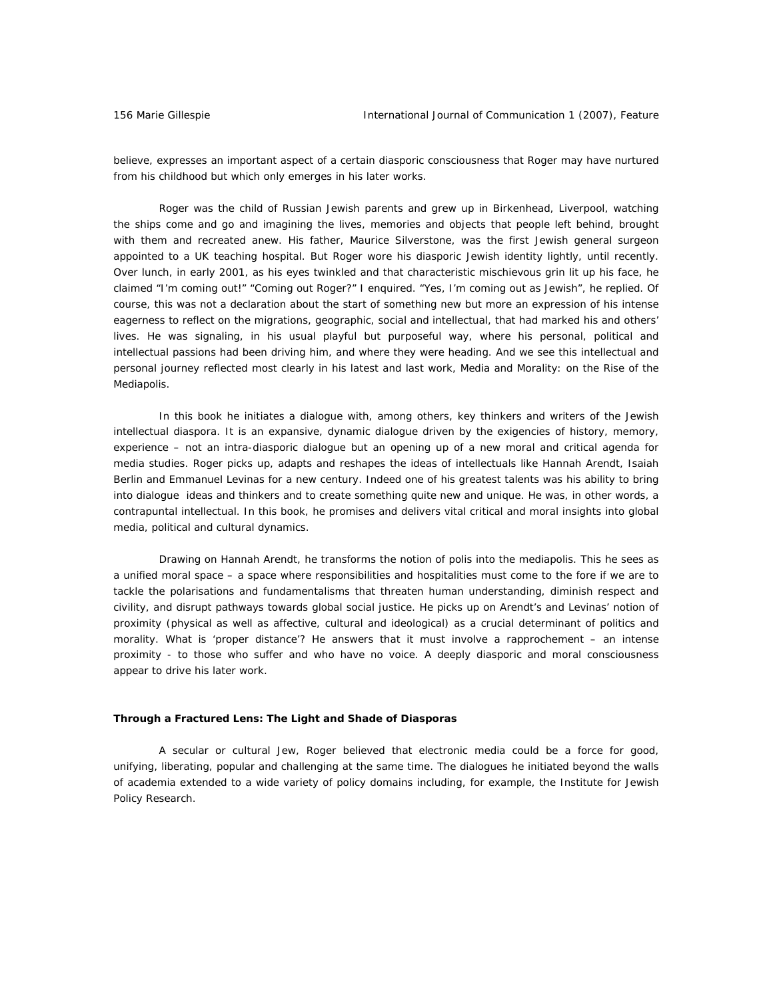believe, expresses an important aspect of a certain diasporic consciousness that Roger may have nurtured from his childhood but which only emerges in his later works.

Roger was the child of Russian Jewish parents and grew up in Birkenhead, Liverpool, watching the ships come and go and imagining the lives, memories and objects that people left behind, brought with them and recreated anew. His father, Maurice Silverstone, was the first Jewish general surgeon appointed to a UK teaching hospital. But Roger wore his diasporic Jewish identity lightly, until recently. Over lunch, in early 2001, as his eyes twinkled and that characteristic mischievous grin lit up his face, he claimed "I'm coming out!" "Coming out Roger?" I enquired. "Yes, I'm coming out as Jewish", he replied. Of course, this was not a declaration about the start of something new but more an expression of his intense eagerness to reflect on the migrations, geographic, social and intellectual, that had marked his and others' lives. He was signaling, in his usual playful but purposeful way, where his personal, political and intellectual passions had been driving him, and where they were heading. And we see this intellectual and personal journey reflected most clearly in his latest and last work, *Media and Morality: on the Rise of the Mediapolis.* 

In this book he initiates a dialogue with, among others, key thinkers and writers of the Jewish intellectual diaspora. It is an expansive, dynamic dialogue driven by the exigencies of history, memory, experience – not an intra-diasporic dialogue but an opening up of a new moral and critical agenda for media studies. Roger picks up, adapts and reshapes the ideas of intellectuals like Hannah Arendt, Isaiah Berlin and Emmanuel Levinas for a new century. Indeed one of his greatest talents was his ability to bring into dialogue ideas and thinkers and to create something quite new and unique. He was, in other words, a contrapuntal intellectual. In this book, he promises and delivers vital critical and moral insights into global media, political and cultural dynamics.

Drawing on Hannah Arendt, he transforms the notion of polis into the mediapolis. This he sees as a unified moral space – a space where responsibilities and hospitalities must come to the fore if we are to tackle the polarisations and fundamentalisms that threaten human understanding, diminish respect and civility, and disrupt pathways towards global social justice. He picks up on Arendt's and Levinas' notion of proximity (physical as well as affective, cultural and ideological) as a crucial determinant of politics and morality. What is 'proper distance'? He answers that it must involve a rapprochement – an intense proximity - to those who suffer and who have no voice. A deeply diasporic and moral consciousness appear to drive his later work.

#### **Through a Fractured Lens: The Light and Shade of Diasporas**

A secular or cultural Jew, Roger believed that electronic media could be a force for good, unifying, liberating, popular and challenging at the same time. The dialogues he initiated beyond the walls of academia extended to a wide variety of policy domains including, for example, the Institute for Jewish Policy Research.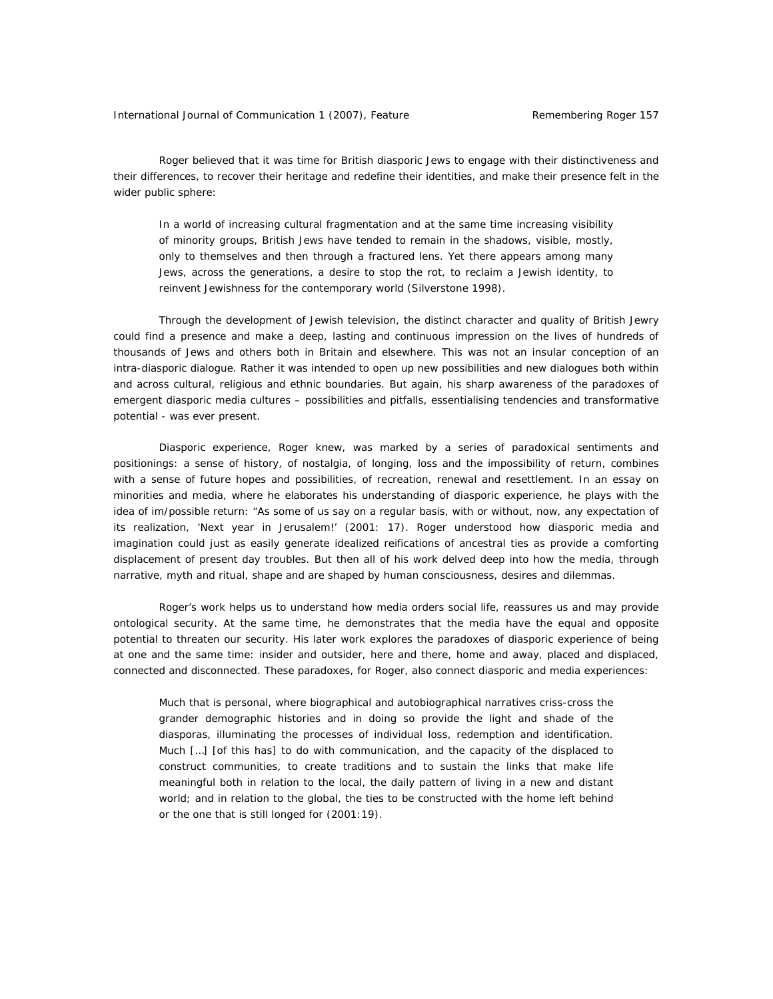Roger believed that it was time for British diasporic Jews to engage with their distinctiveness and their differences, to recover their heritage and redefine their identities, and make their presence felt in the wider public sphere:

In a world of increasing cultural fragmentation and at the same time increasing visibility of minority groups, British Jews have tended to remain in the shadows, visible, mostly, only to themselves and then through a fractured lens. Yet there appears among many Jews, across the generations, a desire to stop the rot, to reclaim a Jewish identity, to reinvent Jewishness for the contemporary world (Silverstone 1998).

Through the development of Jewish television, the distinct character and quality of British Jewry could find a presence and make a deep, lasting and continuous impression on the lives of hundreds of thousands of Jews and others both in Britain and elsewhere. This was not an insular conception of an intra-diasporic dialogue. Rather it was intended to open up new possibilities and new dialogues both within and across cultural, religious and ethnic boundaries. But again, his sharp awareness of the paradoxes of emergent diasporic media cultures – possibilities and pitfalls, essentialising tendencies and transformative potential - was ever present.

Diasporic experience, Roger knew, was marked by a series of paradoxical sentiments and positionings: a sense of history, of nostalgia, of longing, loss and the impossibility of return, combines with a sense of future hopes and possibilities, of recreation, renewal and resettlement. In an essay on minorities and media, where he elaborates his understanding of diasporic experience, he plays with the idea of im/possible return: "As some of us say on a regular basis, with or without, now, any expectation of its realization, 'Next year in Jerusalem!' (2001: 17). Roger understood how diasporic media and imagination could just as easily generate idealized reifications of ancestral ties as provide a comforting displacement of present day troubles. But then all of his work delved deep into how the media, through narrative, myth and ritual, shape and are shaped by human consciousness, desires and dilemmas.

Roger's work helps us to understand how media orders social life, reassures us and may provide ontological security. At the same time, he demonstrates that the media have the equal and opposite potential to threaten our security. His later work explores the paradoxes of diasporic experience of being at one and the same time: insider and outsider, here and there, home and away, placed and displaced, connected and disconnected. These paradoxes, for Roger, also connect diasporic and media experiences:

Much that is personal, where biographical and autobiographical narratives criss-cross the grander demographic histories and in doing so provide the light and shade of the diasporas, illuminating the processes of individual loss, redemption and identification. Much […] [of this has] to do with communication, and the capacity of the displaced to construct communities, to create traditions and to sustain the links that make life meaningful both in relation to the local, the daily pattern of living in a new and distant world; and in relation to the global, the ties to be constructed with the home left behind or the one that is still longed for (2001:19).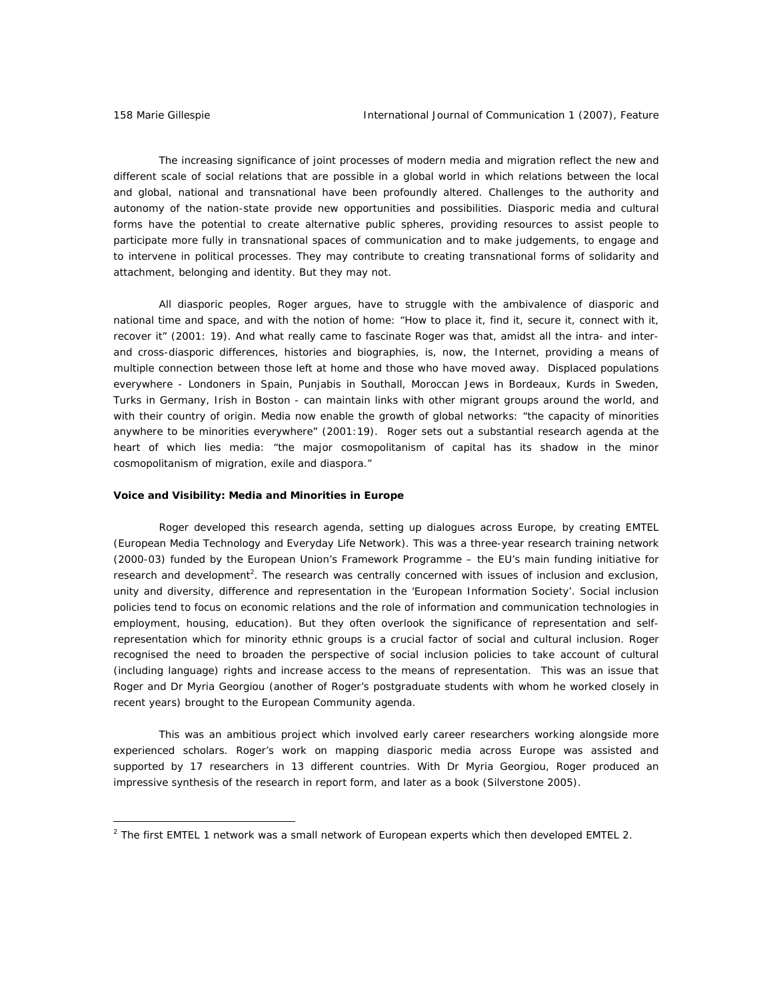$\overline{a}$ 

The increasing significance of joint processes of modern media and migration reflect the new and different scale of social relations that are possible in a global world in which relations between the local and global, national and transnational have been profoundly altered. Challenges to the authority and autonomy of the nation-state provide new opportunities and possibilities. Diasporic media and cultural forms have the potential to create alternative public spheres, providing resources to assist people to participate more fully in transnational spaces of communication and to make judgements, to engage and to intervene in political processes. They may contribute to creating transnational forms of solidarity and attachment, belonging and identity. But they may not.

All diasporic peoples, Roger argues, have to struggle with the ambivalence of diasporic and national time and space, and with the notion of home: "How to place it, find it, secure it, connect with it, recover it" (2001: 19). And what really came to fascinate Roger was that, amidst all the intra- and interand cross-diasporic differences, histories and biographies, is, now, the Internet, providing a means of multiple connection between those left at home and those who have moved away. Displaced populations everywhere - Londoners in Spain, Punjabis in Southall, Moroccan Jews in Bordeaux, Kurds in Sweden, Turks in Germany, Irish in Boston - can maintain links with other migrant groups around the world, and with their country of origin. Media now enable the growth of global networks: "the capacity of minorities anywhere to be minorities everywhere" (2001:19). Roger sets out a substantial research agenda at the heart of which lies media: "the major cosmopolitanism of capital has its shadow in the minor cosmopolitanism of migration, exile and diaspora."

#### **Voice and Visibility: Media and Minorities in Europe**

Roger developed this research agenda, setting up dialogues across Europe, by creating EMTEL (European Media Technology and Everyday Life Network). This was a three-year research training network (2000-03) funded by the European Union's Framework Programme – the EU's main funding initiative for research and development<sup>2</sup>. The research was centrally concerned with issues of inclusion and exclusion, unity and diversity, difference and representation in the 'European Information Society'. Social inclusion policies tend to focus on economic relations and the role of information and communication technologies in employment, housing, education). But they often overlook the significance of representation and selfrepresentation which for minority ethnic groups is a crucial factor of social and cultural inclusion. Roger recognised the need to broaden the perspective of social inclusion policies to take account of cultural (including language) rights and increase access to the means of representation. This was an issue that Roger and Dr Myria Georgiou (another of Roger's postgraduate students with whom he worked closely in recent years) brought to the European Community agenda.

This was an ambitious project which involved early career researchers working alongside more experienced scholars. Roger's work on mapping diasporic media across Europe was assisted and supported by 17 researchers in 13 different countries. With Dr Myria Georgiou, Roger produced an impressive synthesis of the research in report form, and later as a book (Silverstone 2005).

<sup>&</sup>lt;sup>2</sup> The first EMTEL 1 network was a small network of European experts which then developed EMTEL 2.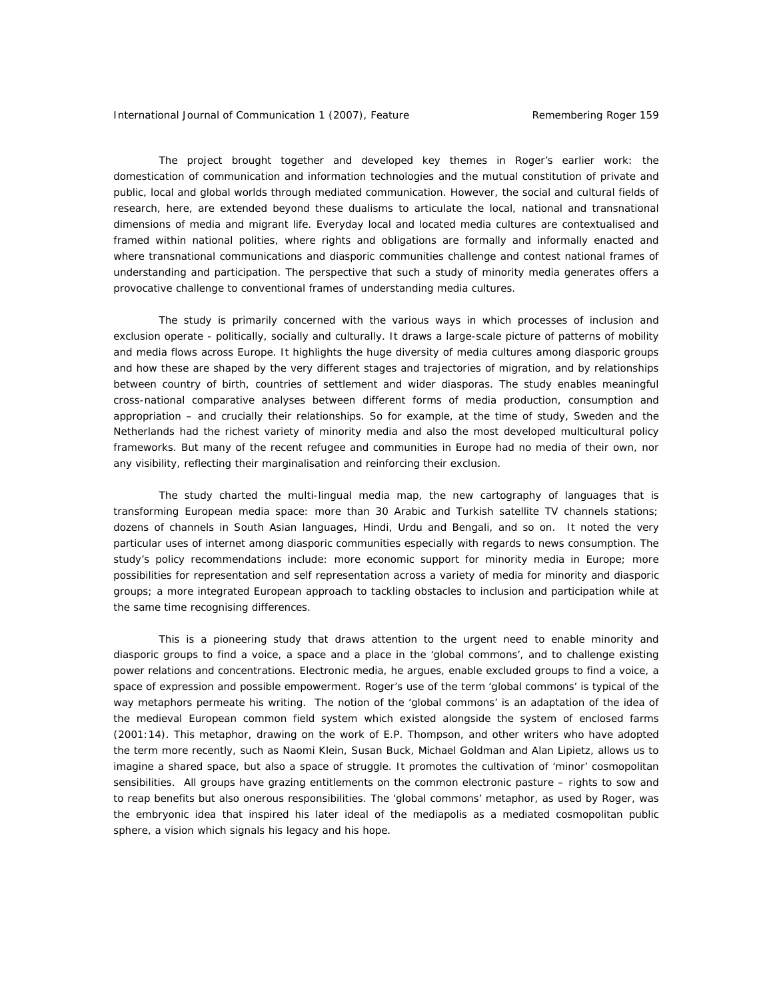The project brought together and developed key themes in Roger's earlier work: the domestication of communication and information technologies and the mutual constitution of private and public, local and global worlds through mediated communication. However, the social and cultural fields of research, here, are extended beyond these dualisms to articulate the local, national and transnational dimensions of media and migrant life. Everyday local and located media cultures are contextualised and framed within national polities, where rights and obligations are formally and informally enacted and where transnational communications and diasporic communities challenge and contest national frames of understanding and participation. The perspective that such a study of minority media generates offers a provocative challenge to conventional frames of understanding media cultures.

The study is primarily concerned with the various ways in which processes of inclusion and exclusion operate - politically, socially and culturally. It draws a large-scale picture of patterns of mobility and media flows across Europe. It highlights the huge diversity of media cultures among diasporic groups and how these are shaped by the very different stages and trajectories of migration, and by relationships between country of birth, countries of settlement and wider diasporas. The study enables meaningful cross-national comparative analyses between different forms of media production, consumption and appropriation – and crucially their relationships. So for example, at the time of study, Sweden and the Netherlands had the richest variety of minority media and also the most developed multicultural policy frameworks. But many of the recent refugee and communities in Europe had no media of their own, nor any visibility, reflecting their marginalisation and reinforcing their exclusion.

The study charted the multi-lingual media map, the new cartography of languages that is transforming European media space: more than 30 Arabic and Turkish satellite TV channels stations; dozens of channels in South Asian languages, Hindi, Urdu and Bengali, and so on. It noted the very particular uses of internet among diasporic communities especially with regards to news consumption. The study's policy recommendations include: more economic support for minority media in Europe; more possibilities for representation and self representation across a variety of media for minority and diasporic groups; a more integrated European approach to tackling obstacles to inclusion and participation while at the same time recognising differences.

This is a pioneering study that draws attention to the urgent need to enable minority and diasporic groups to find a voice, a space and a place in the 'global commons', and to challenge existing power relations and concentrations. Electronic media, he argues, enable excluded groups to find a voice, a space of expression and possible empowerment. Roger's use of the term 'global commons' is typical of the way metaphors permeate his writing. The notion of the 'global commons' is an adaptation of the idea of the medieval European common field system which existed alongside the system of enclosed farms (2001:14). This metaphor, drawing on the work of E.P. Thompson, and other writers who have adopted the term more recently, such as Naomi Klein, Susan Buck, Michael Goldman and Alan Lipietz, allows us to imagine a shared space, but also a space of struggle. It promotes the cultivation of 'minor' cosmopolitan sensibilities. All groups have grazing entitlements on the common electronic pasture – rights to sow and to reap benefits but also onerous responsibilities. The 'global commons' metaphor, as used by Roger, was the embryonic idea that inspired his later ideal of the mediapolis as a mediated cosmopolitan public sphere, a vision which signals his legacy and his hope.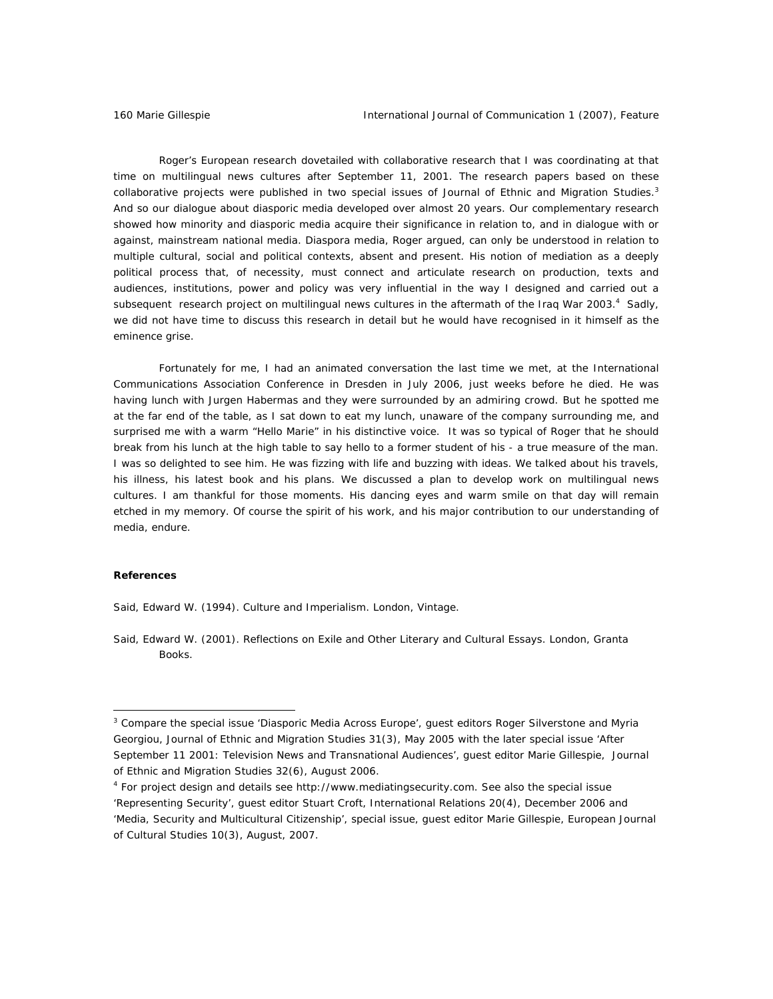Roger's European research dovetailed with collaborative research that I was coordinating at that time on multilingual news cultures after September 11, 2001. The research papers based on these collaborative projects were published in two special issues of *Journal of Ethnic and Migration Studies*. 3 And so our dialogue about diasporic media developed over almost 20 years. Our complementary research showed how minority and diasporic media acquire their significance in relation to, and in dialogue with or against, mainstream national media. Diaspora media, Roger argued, can only be understood in relation to multiple cultural, social and political contexts, absent and present. His notion of mediation as a deeply political process that, of necessity, must connect and articulate research on production, texts and audiences, institutions, power and policy was very influential in the way I designed and carried out a subsequent research project on multilingual news cultures in the aftermath of the Iraq War 2003.<sup>4</sup> Sadly, we did not have time to discuss this research in detail but he would have recognised in it himself as the *eminence grise*.

Fortunately for me, I had an animated conversation the last time we met, at the International Communications Association Conference in Dresden in July 2006, just weeks before he died. He was having lunch with Jurgen Habermas and they were surrounded by an admiring crowd. But he spotted me at the far end of the table, as I sat down to eat my lunch, unaware of the company surrounding me, and surprised me with a warm "Hello Marie" in his distinctive voice. It was so typical of Roger that he should break from his lunch at the high table to say hello to a former student of his - a true measure of the man. I was so delighted to see him. He was fizzing with life and buzzing with ideas. We talked about his travels, his illness, his latest book and his plans. We discussed a plan to develop work on multilingual news cultures. I am thankful for those moments. His dancing eyes and warm smile on that day will remain etched in my memory. Of course the spirit of his work, and his major contribution to our understanding of media, endure.

### **References**

 $\overline{a}$ 

Said, Edward W. (1994). *Culture and Imperialism*. London, Vintage.

Said, Edward W. (2001). *Reflections on Exile and Other Literary and Cultural Essays.* London, Granta Books.

<sup>&</sup>lt;sup>3</sup> Compare the special issue 'Diasporic Media Across Europe', guest editors Roger Silverstone and Myria Georgiou, *Journal of Ethnic and Migration Studies* 31(3), May 2005 with the later special issue 'After September 11 2001: Television News and Transnational Audiences', guest editor Marie Gillespie, *Journal of Ethnic and Migration Studies* 32(6), August 2006.

<sup>4</sup> For project design and details see http://www.mediatingsecurity.com. See also the special issue 'Representing Security', guest editor Stuart Croft, *International Relations* 20(4), December 2006 and 'Media, Security and Multicultural Citizenship', special issue, guest editor Marie Gillespie, *European Journal of Cultural Studies* 10(3), August, 2007.